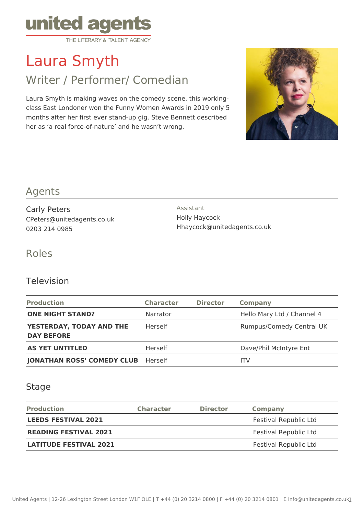

# Laura Smyth

# Writer / Performer/ Comedian

Laura Smyth is making waves on the comedy scene, this workingclass East Londoner won the Funny Women Awards in 2019 only 5 months after her first ever stand-up gig. Steve Bennett described her as 'a real force-of-nature' and he wasn't wrong.



### Agents

Carly Peters CPeters@unitedagents.co.uk 0203 214 0985

Assistant Holly Haycock Hhaycock@unitedagents.co.uk

#### Roles

#### Television

| <b>Production</b>                             | <b>Character</b> | <b>Director</b> | Company                         |
|-----------------------------------------------|------------------|-----------------|---------------------------------|
| <b>ONE NIGHT STAND?</b>                       | Narrator         |                 | Hello Mary Ltd / Channel 4      |
| YESTERDAY, TODAY AND THE<br><b>DAY BEFORE</b> | Herself          |                 | <b>Rumpus/Comedy Central UK</b> |
| <b>AS YET UNTITLED</b>                        | Herself          |                 | Dave/Phil McIntyre Ent          |
| <b>JONATHAN ROSS' COMEDY CLUB</b>             | Herself          |                 | ITV.                            |

#### **Stage**

| <b>Production</b>             | <b>Character</b> | <b>Director</b> | <b>Company</b>        |
|-------------------------------|------------------|-----------------|-----------------------|
| <b>LEEDS FESTIVAL 2021</b>    |                  |                 | Festival Republic Ltd |
| <b>READING FESTIVAL 2021</b>  |                  |                 | Festival Republic Ltd |
| <b>LATITUDE FESTIVAL 2021</b> |                  |                 | Festival Republic Ltd |